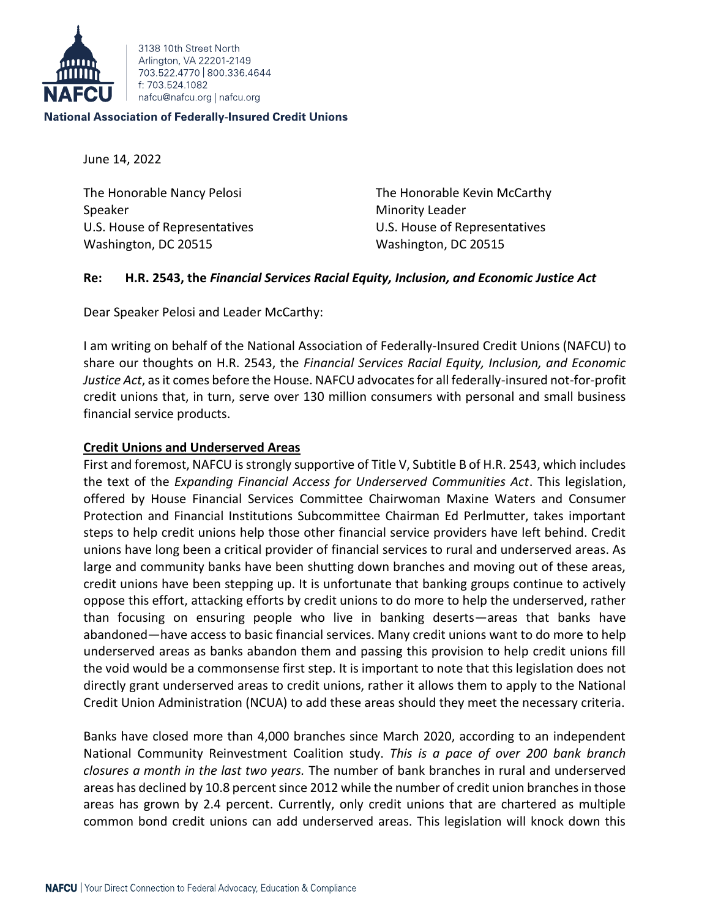

3138 10th Street North Arlington, VA 22201-2149 703 522 4770 800 336 4644 f: 703 524 1082 nafcu@nafcu.org | nafcu.org

## **National Association of Federally-Insured Credit Unions**

June 14, 2022

Speaker Minority Leader U.S. House of Representatives U.S. House of Representatives Washington, DC 20515 Washington, DC 20515

The Honorable Nancy Pelosi The Honorable Kevin McCarthy

# **Re: H.R. 2543, the** *Financial Services Racial Equity, Inclusion, and Economic Justice Act*

Dear Speaker Pelosi and Leader McCarthy:

I am writing on behalf of the National Association of Federally-Insured Credit Unions (NAFCU) to share our thoughts on H.R. 2543, the *Financial Services Racial Equity, Inclusion, and Economic Justice Act*, as it comes before the House. NAFCU advocates for all federally-insured not-for-profit credit unions that, in turn, serve over 130 million consumers with personal and small business financial service products.

# **Credit Unions and Underserved Areas**

First and foremost, NAFCU is strongly supportive of Title V, Subtitle B of H.R. 2543, which includes the text of the *Expanding Financial Access for Underserved Communities Act*. This legislation, offered by House Financial Services Committee Chairwoman Maxine Waters and Consumer Protection and Financial Institutions Subcommittee Chairman Ed Perlmutter, takes important steps to help credit unions help those other financial service providers have left behind. Credit unions have long been a critical provider of financial services to rural and underserved areas. As large and community banks have been shutting down branches and moving out of these areas, credit unions have been stepping up. It is unfortunate that banking groups continue to actively oppose this effort, attacking efforts by credit unions to do more to help the underserved, rather than focusing on ensuring people who live in banking deserts—areas that banks have abandoned—have access to basic financial services. Many credit unions want to do more to help underserved areas as banks abandon them and passing this provision to help credit unions fill the void would be a commonsense first step. It is important to note that this legislation does not directly grant underserved areas to credit unions, rather it allows them to apply to the National Credit Union Administration (NCUA) to add these areas should they meet the necessary criteria.

Banks have closed more than 4,000 branches since March 2020, according to an independent National Community Reinvestment Coalition study. *This is a pace of over 200 bank branch closures a month in the last two years.* The number of bank branches in rural and underserved areas has declined by 10.8 percent since 2012 while the number of credit union branches in those areas has grown by 2.4 percent. Currently, only credit unions that are chartered as multiple common bond credit unions can add underserved areas. This legislation will knock down this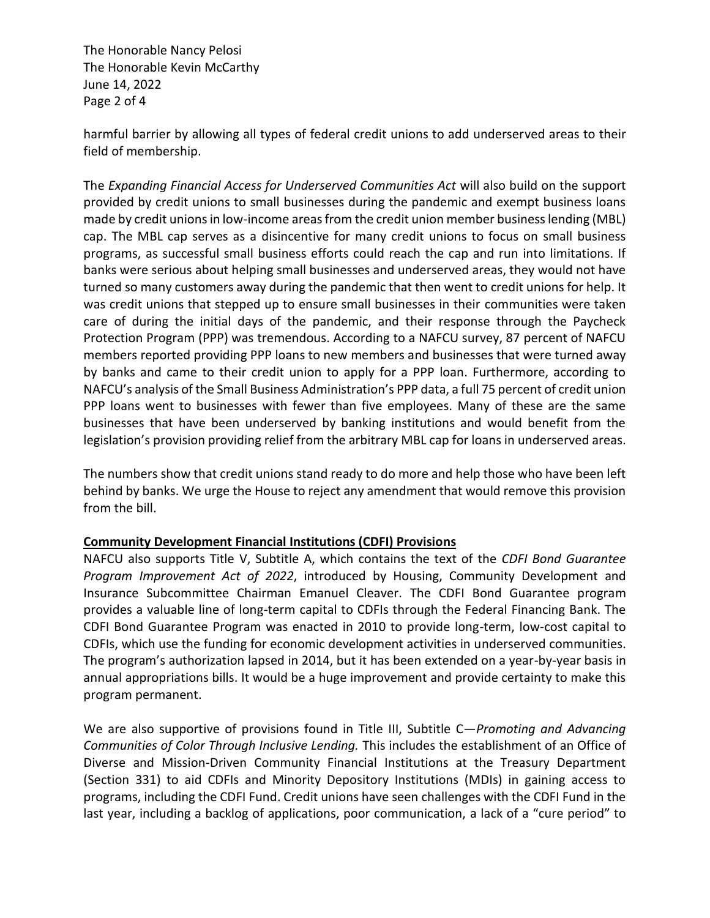The Honorable Nancy Pelosi The Honorable Kevin McCarthy June 14, 2022 Page 2 of 4

harmful barrier by allowing all types of federal credit unions to add underserved areas to their field of membership.

The *Expanding Financial Access for Underserved Communities Act* will also build on the support provided by credit unions to small businesses during the pandemic and exempt business loans made by credit unions in low-income areas from the credit union member business lending (MBL) cap. The MBL cap serves as a disincentive for many credit unions to focus on small business programs, as successful small business efforts could reach the cap and run into limitations. If banks were serious about helping small businesses and underserved areas, they would not have turned so many customers away during the pandemic that then went to credit unions for help. It was credit unions that stepped up to ensure small businesses in their communities were taken care of during the initial days of the pandemic, and their response through the Paycheck Protection Program (PPP) was tremendous. According to a NAFCU survey, 87 percent of NAFCU members reported providing PPP loans to new members and businesses that were turned away by banks and came to their credit union to apply for a PPP loan. Furthermore, according to NAFCU's analysis of the Small Business Administration's PPP data, a full 75 percent of credit union PPP loans went to businesses with fewer than five employees. Many of these are the same businesses that have been underserved by banking institutions and would benefit from the legislation's provision providing relief from the arbitrary MBL cap for loans in underserved areas.

The numbers show that credit unions stand ready to do more and help those who have been left behind by banks. We urge the House to reject any amendment that would remove this provision from the bill.

# **Community Development Financial Institutions (CDFI) Provisions**

NAFCU also supports Title V, Subtitle A, which contains the text of the *CDFI Bond Guarantee Program Improvement Act of 2022*, introduced by Housing, Community Development and Insurance Subcommittee Chairman Emanuel Cleaver. The CDFI Bond Guarantee program provides a valuable line of long-term capital to CDFIs through the Federal Financing Bank. The CDFI Bond Guarantee Program was enacted in 2010 to provide long-term, low-cost capital to CDFIs, which use the funding for economic development activities in underserved communities. The program's authorization lapsed in 2014, but it has been extended on a year-by-year basis in annual appropriations bills. It would be a huge improvement and provide certainty to make this program permanent.

We are also supportive of provisions found in Title III, Subtitle C—*Promoting and Advancing Communities of Color Through Inclusive Lending.* This includes the establishment of an Office of Diverse and Mission-Driven Community Financial Institutions at the Treasury Department (Section 331) to aid CDFIs and Minority Depository Institutions (MDIs) in gaining access to programs, including the CDFI Fund. Credit unions have seen challenges with the CDFI Fund in the last year, including a backlog of applications, poor communication, a lack of a "cure period" to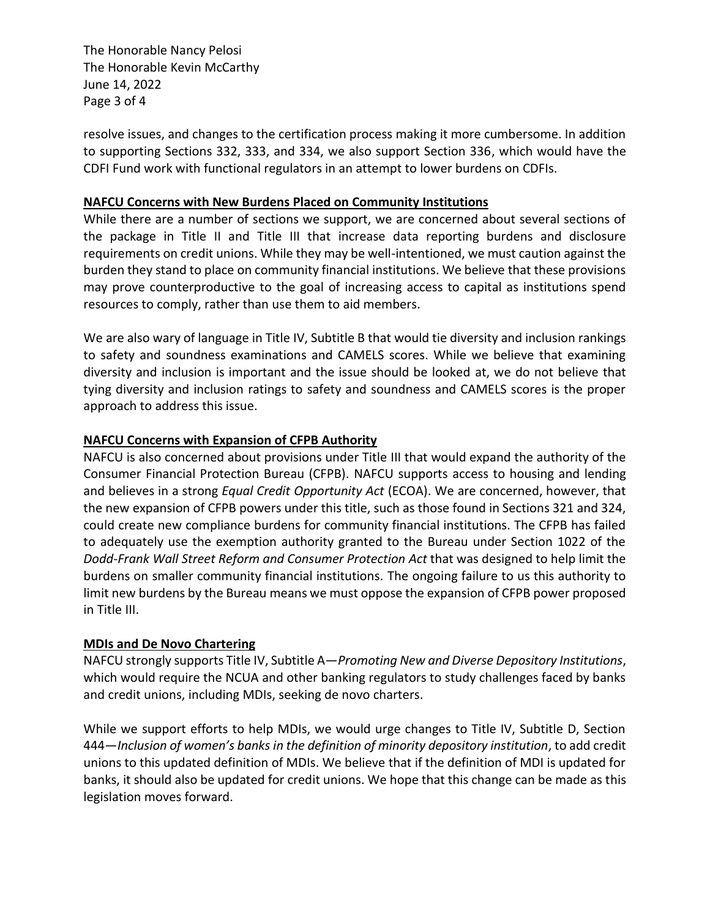The Honorable Nancy Pelosi The Honorable Kevin McCarthy June 14, 2022 Page 3 of 4

resolve issues, and changes to the certification process making it more cumbersome. In addition to supporting Sections 332, 333, and 334, we also support Section 336, which would have the CDFI Fund work with functional regulators in an attempt to lower burdens on CDFIs.

# **NAFCU Concerns with New Burdens Placed on Community Institutions**

While there are a number of sections we support, we are concerned about several sections of the package in Title II and Title III that increase data reporting burdens and disclosure requirements on credit unions. While they may be well-intentioned, we must caution against the burden they stand to place on community financial institutions. We believe that these provisions may prove counterproductive to the goal of increasing access to capital as institutions spend resources to comply, rather than use them to aid members.

We are also wary of language in Title IV, Subtitle B that would tie diversity and inclusion rankings to safety and soundness examinations and CAMELS scores. While we believe that examining diversity and inclusion is important and the issue should be looked at, we do not believe that tying diversity and inclusion ratings to safety and soundness and CAMELS scores is the proper approach to address this issue.

# **NAFCU Concerns with Expansion of CFPB Authority**

NAFCU is also concerned about provisions under Title III that would expand the authority of the Consumer Financial Protection Bureau (CFPB). NAFCU supports access to housing and lending and believes in a strong *Equal Credit Opportunity Act* (ECOA). We are concerned, however, that the new expansion of CFPB powers under this title, such as those found in Sections 321 and 324, could create new compliance burdens for community financial institutions. The CFPB has failed to adequately use the exemption authority granted to the Bureau under Section 1022 of the *Dodd-Frank Wall Street Reform and Consumer Protection Act* that was designed to help limit the burdens on smaller community financial institutions. The ongoing failure to us this authority to limit new burdens by the Bureau means we must oppose the expansion of CFPB power proposed in Title III.

# **MDIs and De Novo Chartering**

NAFCU strongly supports Title IV, Subtitle A—*Promoting New and Diverse Depository Institutions*, which would require the NCUA and other banking regulators to study challenges faced by banks and credit unions, including MDIs, seeking de novo charters.

While we support efforts to help MDIs, we would urge changes to Title IV, Subtitle D, Section 444—*Inclusion of women's banks in the definition of minority depository institution*, to add credit unions to this updated definition of MDIs. We believe that if the definition of MDI is updated for banks, it should also be updated for credit unions. We hope that this change can be made as this legislation moves forward.